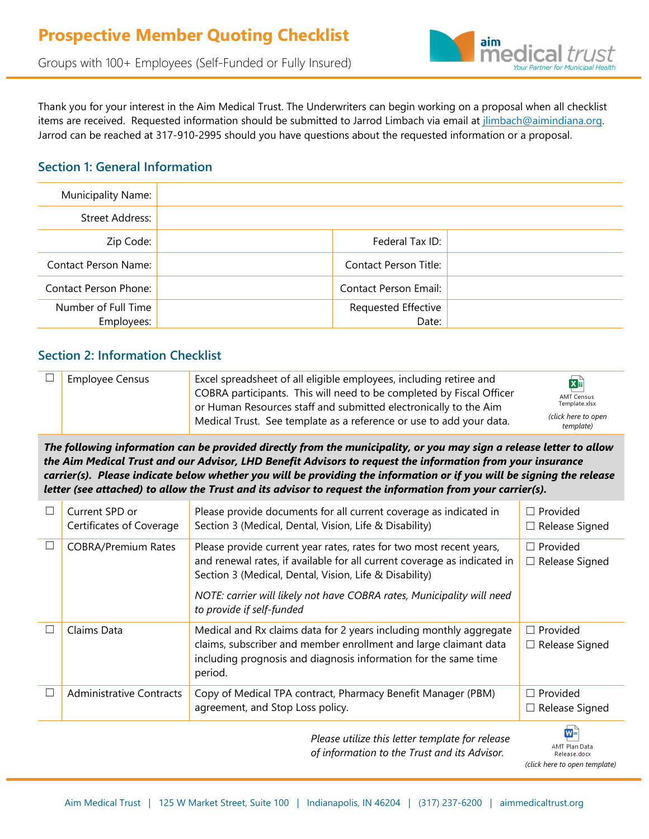

Groups with 100+ Employees (Self-Funded or Fully Insured)

Thank you for your interest in the Aim Medical Trust. The Underwriters can begin working on a proposal when all checklist items are received. Requested information should be submitted to Jarrod Limbach via email at *jlimbach@aimindiana.org*. Jarrod can be reached at 317-910-2995 should you have questions about the requested information or a proposal.

#### **Section 1: General Information**

| Municipality Name:          |                       |  |
|-----------------------------|-----------------------|--|
| Street Address:             |                       |  |
| Zip Code:                   | Federal Tax ID:       |  |
| <b>Contact Person Name:</b> | Contact Person Title: |  |
| Contact Person Phone:       | Contact Person Email: |  |
| Number of Full Time         | Requested Effective   |  |
| Employees:                  | Date:                 |  |

## **Section 2: Information Checklist**

| <b>Employee Census</b> | Excel spreadsheet of all eligible employees, including retiree and   | X⊧                               |
|------------------------|----------------------------------------------------------------------|----------------------------------|
|                        | COBRA participants. This will need to be completed by Fiscal Officer | <b>AMT Census</b>                |
|                        | or Human Resources staff and submitted electronically to the Aim     | Template.xlsx                    |
|                        | Medical Trust. See template as a reference or use to add your data.  | (click here to open<br>template) |

*The following information can be provided directly from the municipality, or you may sign a release letter to allow the Aim Medical Trust and our Advisor, LHD Benefit Advisors to request the information from your insurance carrier(s). Please indicate below whether you will be providing the information or if you will be signing the release letter (see attached) to allow the Trust and its advisor to request the information from your carrier(s).* 

|   | Current SPD or<br>Certificates of Coverage | Please provide documents for all current coverage as indicated in<br>Section 3 (Medical, Dental, Vision, Life & Disability)                                                                                          | Provided<br>П<br>Release Signed<br>$\Box$ |
|---|--------------------------------------------|----------------------------------------------------------------------------------------------------------------------------------------------------------------------------------------------------------------------|-------------------------------------------|
| П | <b>COBRA/Premium Rates</b>                 | Please provide current year rates, rates for two most recent years,<br>and renewal rates, if available for all current coverage as indicated in<br>Section 3 (Medical, Dental, Vision, Life & Disability)            | Provided<br>H<br>$\Box$ Release Signed    |
|   |                                            | NOTE: carrier will likely not have COBRA rates, Municipality will need<br>to provide if self-funded                                                                                                                  |                                           |
| П | Claims Data                                | Medical and Rx claims data for 2 years including monthly aggregate<br>claims, subscriber and member enrollment and large claimant data<br>including prognosis and diagnosis information for the same time<br>period. | $\Box$ Provided<br>$\Box$ Release Signed  |
| L | <b>Administrative Contracts</b>            | Copy of Medical TPA contract, Pharmacy Benefit Manager (PBM)<br>agreement, and Stop Loss policy.                                                                                                                     | Provided<br>П<br>$\Box$ Release Signed    |
|   |                                            | Please utilize this letter template for release<br>of information to the Trust and its Advisor.                                                                                                                      | $W =$<br>AMT Plan Data<br>Release.docx    |

Release.docx *(click [here to open template\)](https://lhdbenefitadvisors-my.sharepoint.com/:w:/g/personal/bfuelberth_lhdbenefits_com/ERYe0zBl9xNLhk4YMGBGDmoB_aXTbH3JI_JIwkSBSt_KtQ?e=KBNM6g)*